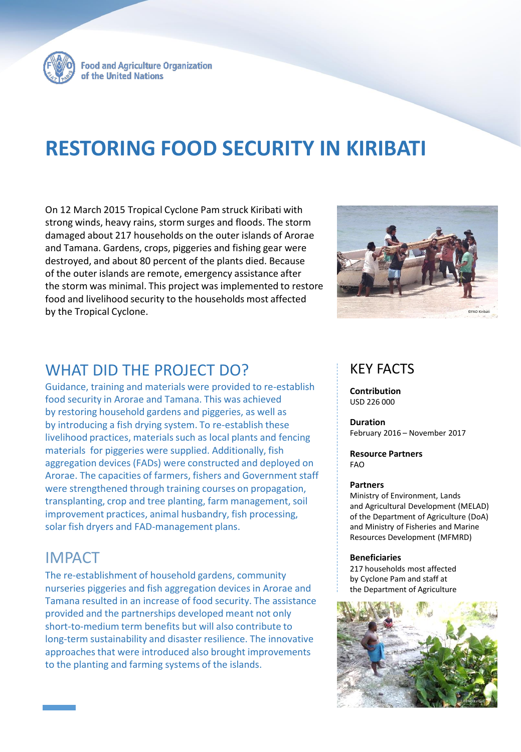

**Food and Agriculture Organization** of the United Nations

# **RESTORING FOOD SECURITY IN KIRIBATI**

On 12 March 2015 Tropical Cyclone Pam struck Kiribati with strong winds, heavy rains, storm surges and floods. The storm damaged about 217 households on the outer islands of Arorae and Tamana. Gardens, crops, piggeries and fishing gear were destroyed, and about 80 percent of the plants died. Because of the outer islands are remote, emergency assistance after the storm was minimal. This project was implemented to restore food and livelihood security to the households most affected by the Tropical Cyclone.



### WHAT DID THE PROJECT DO?

Guidance, training and materials were provided to re-establish food security in Arorae and Tamana. This was achieved by restoring household gardens and piggeries, as well as by introducing a fish drying system. To re-establish these livelihood practices, materials such as local plants and fencing materials for piggeries were supplied. Additionally, fish aggregation devices (FADs) were constructed and deployed on Arorae. The capacities of farmers, fishers and Government staff were strengthened through training courses on propagation, transplanting, crop and tree planting, farm management, soil improvement practices, animal husbandry, fish processing, solar fish dryers and FAD-management plans.

### IMPACT

The re-establishment of household gardens, community nurseries piggeries and fish aggregation devices in Arorae and Tamana resulted in an increase of food security. The assistance provided and the partnerships developed meant not only short-to-medium term benefits but will also contribute to long-term sustainability and disaster resilience. The innovative approaches that were introduced also brought improvements to the planting and farming systems of the islands.

### KEY FACTS

**Contribution** USD 226 000

**Duration** February 2016 – November 2017

#### **Resource Partners** FAO

#### **Partners**

Ministry of Environment, Lands and Agricultural Development (MELAD) of the Department of Agriculture (DoA) and Ministry of Fisheries and Marine Resources Development (MFMRD)

#### **Beneficiaries**

217 households most affected by Cyclone Pam and staff at the Department of Agriculture